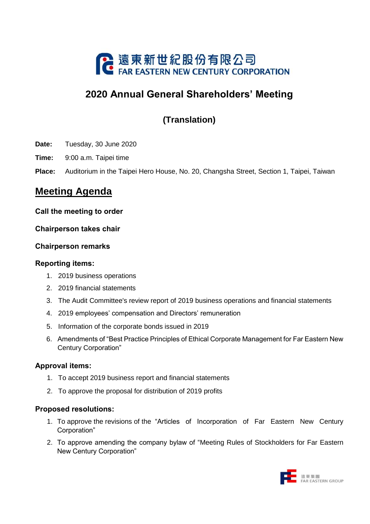

# **2020 Annual General Shareholders' Meeting**

## **(Translation)**

- **Date:** Tuesday, 30 June 2020
- **Time:** 9:00 a.m. Taipei time
- **Place:** Auditorium in the Taipei Hero House, No. 20, Changsha Street, Section 1, Taipei, Taiwan

### **Meeting Agenda**

#### **Call the meeting to order**

#### **Chairperson takes chair**

#### **Chairperson remarks**

#### **Reporting items:**

- 1. 2019 business operations
- 2. 2019 financial statements
- 3. The Audit Committee's review report of 2019 business operations and financial statements
- 4. 2019 employees' compensation and Directors' remuneration
- 5. Information of the corporate bonds issued in 2019
- 6. Amendments of "Best Practice Principles of Ethical Corporate Management for Far Eastern New Century Corporation"

#### **Approval items:**

- 1. To accept 2019 business report and financial statements
- 2. To approve the proposal for distribution of 2019 profits

#### **Proposed resolutions:**

- 1. To approve the revisions of the "Articles of Incorporation of Far Eastern New Century Corporation"
- 2. To approve amending the company bylaw of "Meeting Rules of Stockholders for Far Eastern New Century Corporation"